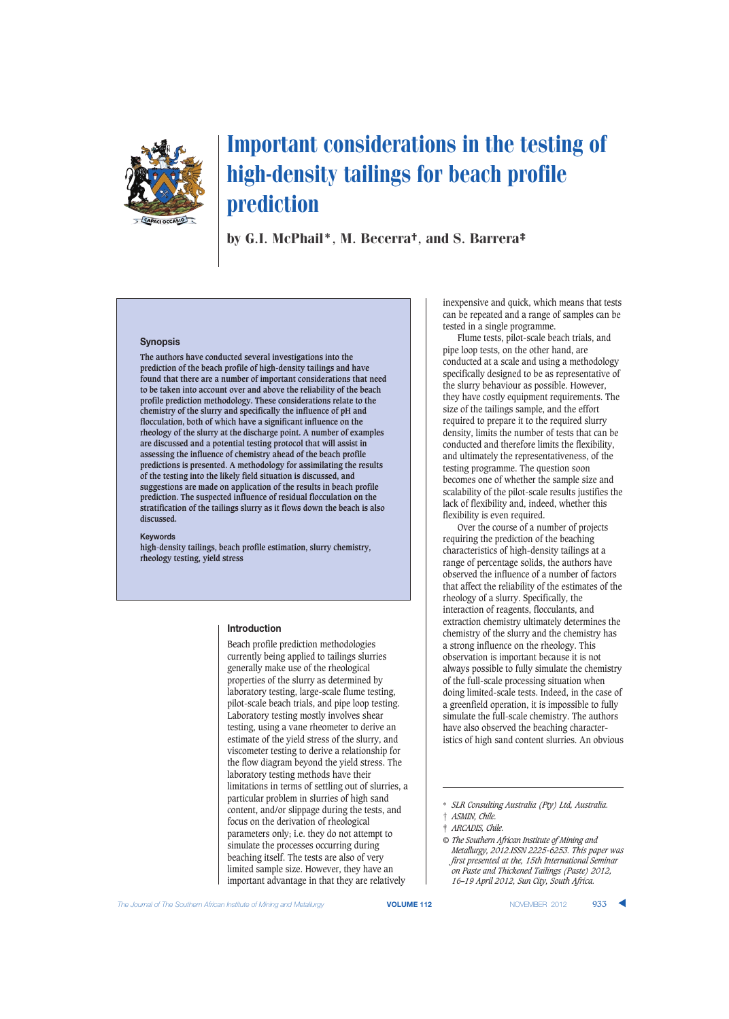

by G.I. McPhail\*, M. Becerra†, and S. Barrera‡

## **Synopsis**

**The authors have conducted several investigations into the prediction of the beach profile of high-density tailings and have found that there are a number of important considerations that need to be taken into account over and above the reliability of the beach profile prediction methodology. These considerations relate to the chemistry of the slurry and specifically the influence of pH and flocculation, both of which have a significant influence on the rheology of the slurry at the discharge point. A number of examples are discussed and a potential testing protocol that will assist in assessing the influence of chemistry ahead of the beach profile predictions is presented. A methodology for assimilating the results of the testing into the likely field situation is discussed, and suggestions are made on application of the results in beach profile prediction. The suspected influence of residual flocculation on the stratification of the tailings slurry as it flows down the beach is also discussed.**

#### **Keywords**

**high-density tailings, beach profile estimation, slurry chemistry, rheology testing, yield stress**

## **Introduction**

Beach profile prediction methodologies currently being applied to tailings slurries generally make use of the rheological properties of the slurry as determined by laboratory testing, large-scale flume testing, pilot-scale beach trials, and pipe loop testing. Laboratory testing mostly involves shear testing, using a vane rheometer to derive an estimate of the yield stress of the slurry, and viscometer testing to derive a relationship for the flow diagram beyond the yield stress. The laboratory testing methods have their limitations in terms of settling out of slurries, a particular problem in slurries of high sand content, and/or slippage during the tests, and focus on the derivation of rheological parameters only; i.e. they do not attempt to simulate the processes occurring during beaching itself. The tests are also of very limited sample size. However, they have an important advantage in that they are relatively

inexpensive and quick, which means that tests can be repeated and a range of samples can be tested in a single programme.

Flume tests, pilot-scale beach trials, and pipe loop tests, on the other hand, are conducted at a scale and using a methodology specifically designed to be as representative of the slurry behaviour as possible. However, they have costly equipment requirements. The size of the tailings sample, and the effort required to prepare it to the required slurry density, limits the number of tests that can be conducted and therefore limits the flexibility, and ultimately the representativeness, of the testing programme. The question soon becomes one of whether the sample size and scalability of the pilot-scale results justifies the lack of flexibility and, indeed, whether this flexibility is even required.

Over the course of a number of projects requiring the prediction of the beaching characteristics of high-density tailings at a range of percentage solids, the authors have observed the influence of a number of factors that affect the reliability of the estimates of the rheology of a slurry. Specifically, the interaction of reagents, flocculants, and extraction chemistry ultimately determines the chemistry of the slurry and the chemistry has a strong influence on the rheology. This observation is important because it is not always possible to fully simulate the chemistry of the full-scale processing situation when doing limited-scale tests. Indeed, in the case of a greenfield operation, it is impossible to fully simulate the full-scale chemistry. The authors have also observed the beaching characteristics of high sand content slurries. An obvious

<sup>\*</sup> *SLR Consulting Australia (Pty) Ltd, Australia.* † *ASMIN, Chile.*

<sup>‡</sup> *ARCADIS, Chile.*

*<sup>©</sup> The Southern African Institute of Mining and Metallurgy, 2012.ISSN 2225-6253. This paper was first presented at the, 15th International Seminar on Paste and Thickened Tailings (Paste) 2012, 16–19 April 2012, Sun City, South Africa.*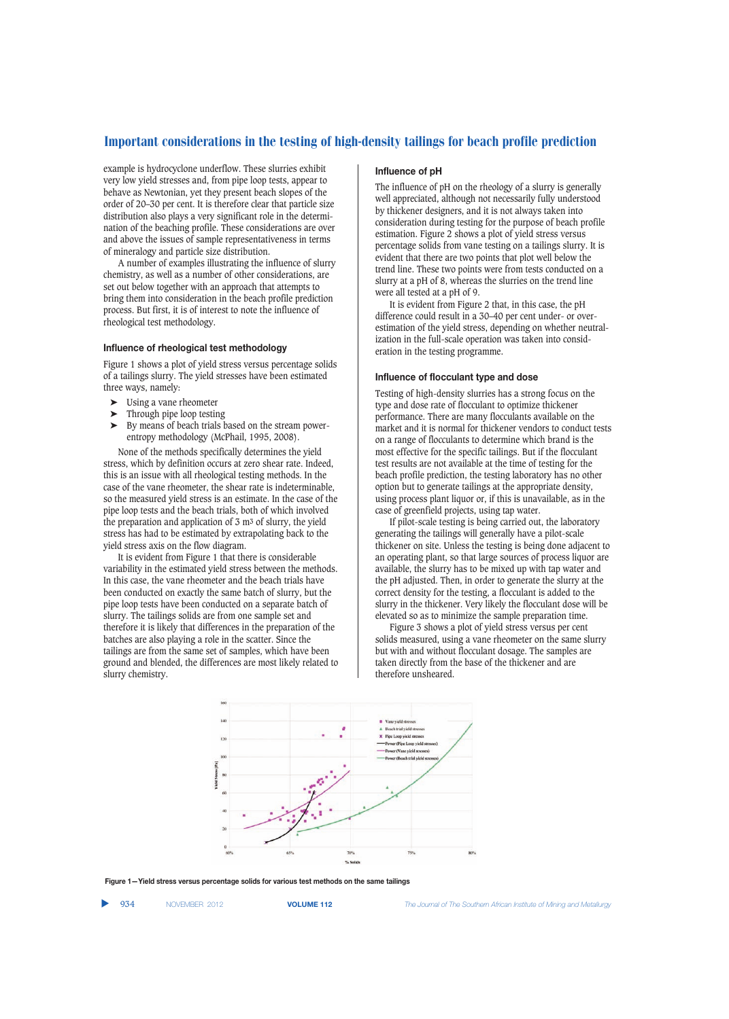example is hydrocyclone underflow. These slurries exhibit very low yield stresses and, from pipe loop tests, appear to behave as Newtonian, yet they present beach slopes of the order of 20–30 per cent. It is therefore clear that particle size distribution also plays a very significant role in the determination of the beaching profile. These considerations are over and above the issues of sample representativeness in terms of mineralogy and particle size distribution.

A number of examples illustrating the influence of slurry chemistry, as well as a number of other considerations, are set out below together with an approach that attempts to bring them into consideration in the beach profile prediction process. But first, it is of interest to note the influence of rheological test methodology.

# **Influence of rheological test methodology**

Figure 1 shows a plot of yield stress versus percentage solids of a tailings slurry. The yield stresses have been estimated three ways, namely:

- ➤ Using a vane rheometer
- $\blacktriangleright$  Through pipe loop testing<br> $\blacktriangleright$  By means of beach trials b
- By means of beach trials based on the stream powerentropy methodology (McPhail, 1995, 2008).

None of the methods specifically determines the yield stress, which by definition occurs at zero shear rate. Indeed, this is an issue with all rheological testing methods. In the case of the vane rheometer, the shear rate is indeterminable, so the measured yield stress is an estimate. In the case of the pipe loop tests and the beach trials, both of which involved the preparation and application of 3 m3 of slurry, the yield stress has had to be estimated by extrapolating back to the yield stress axis on the flow diagram.

It is evident from Figure 1 that there is considerable variability in the estimated yield stress between the methods. In this case, the vane rheometer and the beach trials have been conducted on exactly the same batch of slurry, but the pipe loop tests have been conducted on a separate batch of slurry. The tailings solids are from one sample set and therefore it is likely that differences in the preparation of the batches are also playing a role in the scatter. Since the tailings are from the same set of samples, which have been ground and blended, the differences are most likely related to slurry chemistry.

# **Influence of pH**

The influence of pH on the rheology of a slurry is generally well appreciated, although not necessarily fully understood by thickener designers, and it is not always taken into consideration during testing for the purpose of beach profile estimation. Figure 2 shows a plot of yield stress versus percentage solids from vane testing on a tailings slurry. It is evident that there are two points that plot well below the trend line. These two points were from tests conducted on a slurry at a pH of 8, whereas the slurries on the trend line were all tested at a pH of 9.

It is evident from Figure 2 that, in this case, the pH difference could result in a 30–40 per cent under- or overestimation of the yield stress, depending on whether neutralization in the full-scale operation was taken into consideration in the testing programme.

# **Influence of flocculant type and dose**

Testing of high-density slurries has a strong focus on the type and dose rate of flocculant to optimize thickener performance. There are many flocculants available on the market and it is normal for thickener vendors to conduct tests on a range of flocculants to determine which brand is the most effective for the specific tailings. But if the flocculant test results are not available at the time of testing for the beach profile prediction, the testing laboratory has no other option but to generate tailings at the appropriate density, using process plant liquor or, if this is unavailable, as in the case of greenfield projects, using tap water.

If pilot-scale testing is being carried out, the laboratory generating the tailings will generally have a pilot-scale thickener on site. Unless the testing is being done adjacent to an operating plant, so that large sources of process liquor are available, the slurry has to be mixed up with tap water and the pH adjusted. Then, in order to generate the slurry at the correct density for the testing, a flocculant is added to the slurry in the thickener. Very likely the flocculant dose will be elevated so as to minimize the sample preparation time.

Figure 3 shows a plot of yield stress versus per cent solids measured, using a vane rheometer on the same slurry but with and without flocculant dosage. The samples are taken directly from the base of the thickener and are therefore unsheared.



**Figure 1—Yield stress versus percentage solids for various test methods on the same tailings**

▲

934 NOVEMBER 2012 **VOLUME 112** *The Journal of The Southern African Institute of Mining and Metallurgy*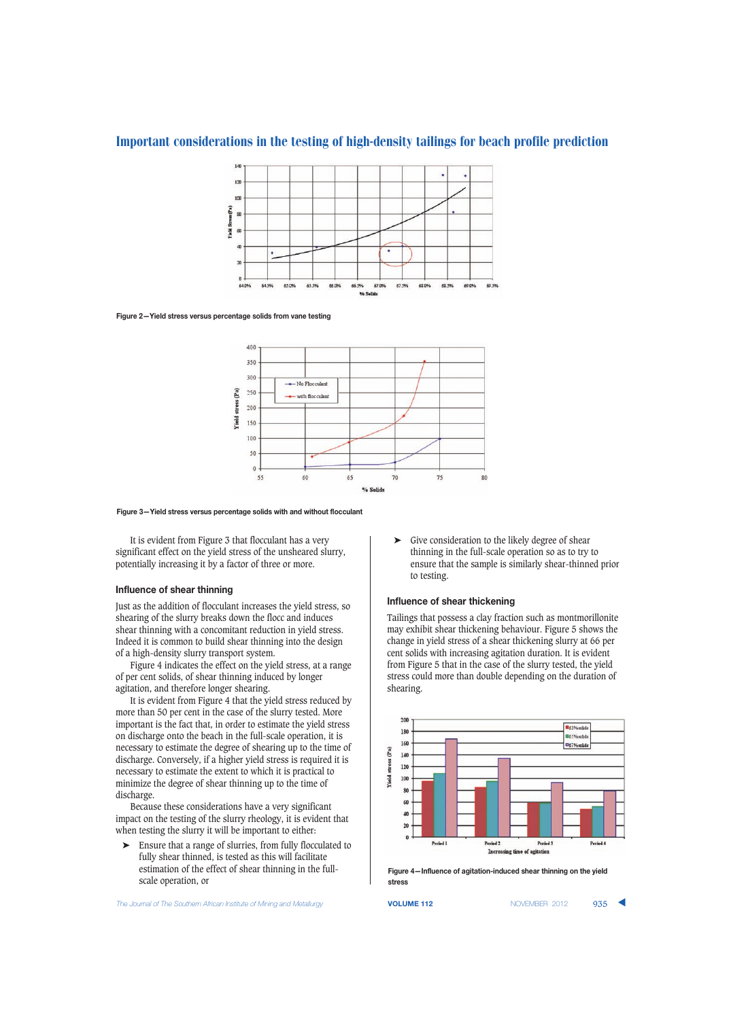

#### **Figure 2—Yield stress versus percentage solids from vane testing**



#### **Figure 3—Yield stress versus percentage solids with and without flocculant**

It is evident from Figure 3 that flocculant has a very significant effect on the yield stress of the unsheared slurry, potentially increasing it by a factor of three or more.

## **Influence of shear thinning**

Just as the addition of flocculant increases the yield stress, so shearing of the slurry breaks down the flocc and induces shear thinning with a concomitant reduction in yield stress. Indeed it is common to build shear thinning into the design of a high-density slurry transport system.

Figure 4 indicates the effect on the yield stress, at a range of per cent solids, of shear thinning induced by longer agitation, and therefore longer shearing.

It is evident from Figure 4 that the yield stress reduced by more than 50 per cent in the case of the slurry tested. More important is the fact that, in order to estimate the yield stress on discharge onto the beach in the full-scale operation, it is necessary to estimate the degree of shearing up to the time of discharge. Conversely, if a higher yield stress is required it is necessary to estimate the extent to which it is practical to minimize the degree of shear thinning up to the time of discharge.

Because these considerations have a very significant impact on the testing of the slurry rheology, it is evident that when testing the slurry it will be important to either:

➤ Ensure that a range of slurries, from fully flocculated to fully shear thinned, is tested as this will facilitate estimation of the effect of shear thinning in the fullscale operation, or

**The Journal of The Southern African Institute of Mining and Metallurgy <b>VOLUME 112 VOLUME 112** NOVEMBER 2012 935

➤ Give consideration to the likely degree of shear thinning in the full-scale operation so as to try to ensure that the sample is similarly shear-thinned prior to testing.

## **Influence of shear thickening**

Tailings that possess a clay fraction such as montmorillonite may exhibit shear thickening behaviour. Figure 5 shows the change in yield stress of a shear thickening slurry at 66 per cent solids with increasing agitation duration. It is evident from Figure 5 that in the case of the slurry tested, the yield stress could more than double depending on the duration of shearing.



**Figure 4—Influence of agitation-induced shear thinning on the yield stress**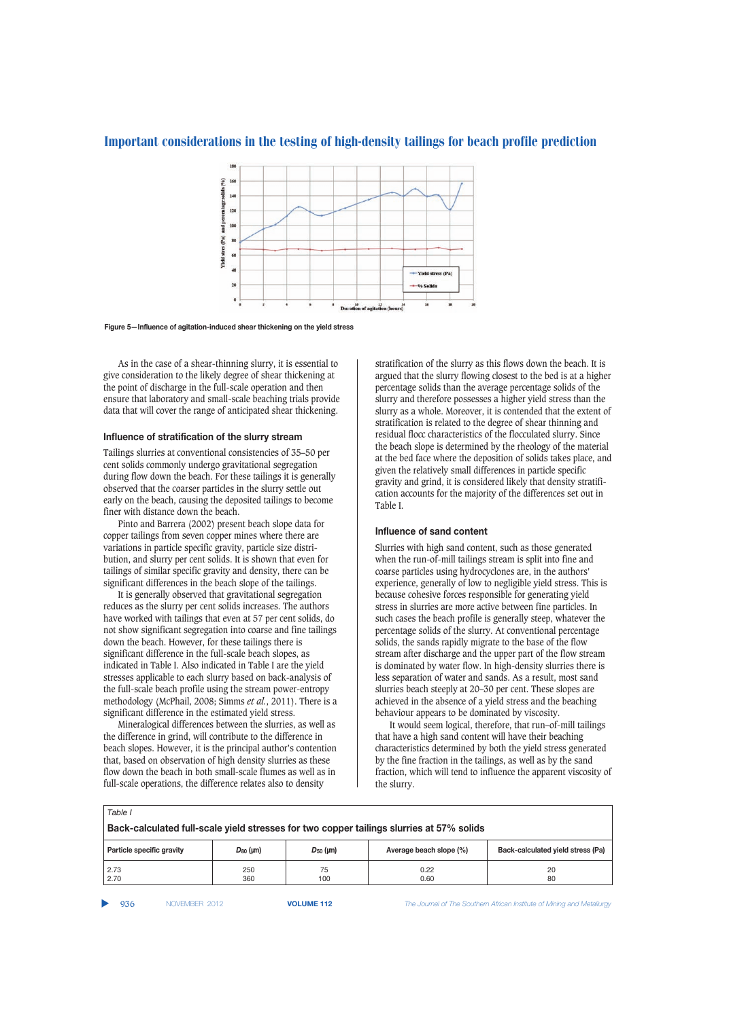

**Figure 5—Influence of agitation-induced shear thickening on the yield stress**

As in the case of a shear-thinning slurry, it is essential to give consideration to the likely degree of shear thickening at the point of discharge in the full-scale operation and then ensure that laboratory and small-scale beaching trials provide data that will cover the range of anticipated shear thickening.

#### **Influence of stratification of the slurry stream**

Tailings slurries at conventional consistencies of 35–50 per cent solids commonly undergo gravitational segregation during flow down the beach. For these tailings it is generally observed that the coarser particles in the slurry settle out early on the beach, causing the deposited tailings to become finer with distance down the beach.

Pinto and Barrera (2002) present beach slope data for copper tailings from seven copper mines where there are variations in particle specific gravity, particle size distribution, and slurry per cent solids. It is shown that even for tailings of similar specific gravity and density, there can be significant differences in the beach slope of the tailings.

It is generally observed that gravitational segregation reduces as the slurry per cent solids increases. The authors have worked with tailings that even at 57 per cent solids, do not show significant segregation into coarse and fine tailings down the beach. However, for these tailings there is significant difference in the full-scale beach slopes, as indicated in Table I. Also indicated in Table I are the yield stresses applicable to each slurry based on back-analysis of the full-scale beach profile using the stream power-entropy methodology (McPhail, 2008; Simms *et al.*, 2011). There is a significant difference in the estimated yield stress.

Mineralogical differences between the slurries, as well as the difference in grind, will contribute to the difference in beach slopes. However, it is the principal author's contention that, based on observation of high density slurries as these flow down the beach in both small-scale flumes as well as in full-scale operations, the difference relates also to density

stratification of the slurry as this flows down the beach. It is argued that the slurry flowing closest to the bed is at a higher percentage solids than the average percentage solids of the slurry and therefore possesses a higher yield stress than the slurry as a whole. Moreover, it is contended that the extent of stratification is related to the degree of shear thinning and residual flocc characteristics of the flocculated slurry. Since the beach slope is determined by the rheology of the material at the bed face where the deposition of solids takes place, and given the relatively small differences in particle specific gravity and grind, it is considered likely that density stratification accounts for the majority of the differences set out in Table I.

#### **Influence of sand content**

Slurries with high sand content, such as those generated when the run-of-mill tailings stream is split into fine and coarse particles using hydrocyclones are, in the authors' experience, generally of low to negligible yield stress. This is because cohesive forces responsible for generating yield stress in slurries are more active between fine particles. In such cases the beach profile is generally steep, whatever the percentage solids of the slurry. At conventional percentage solids, the sands rapidly migrate to the base of the flow stream after discharge and the upper part of the flow stream is dominated by water flow. In high-density slurries there is less separation of water and sands. As a result, most sand slurries beach steeply at 20–30 per cent. These slopes are achieved in the absence of a yield stress and the beaching behaviour appears to be dominated by viscosity.

It would seem logical, therefore, that run–of-mill tailings that have a high sand content will have their beaching characteristics determined by both the yield stress generated by the fine fraction in the tailings, as well as by the sand fraction, which will tend to influence the apparent viscosity of the slurry.

| Table I                                                                                  |               |               |                         |                                   |  |  |
|------------------------------------------------------------------------------------------|---------------|---------------|-------------------------|-----------------------------------|--|--|
| Back-calculated full-scale yield stresses for two copper tailings slurries at 57% solids |               |               |                         |                                   |  |  |
| Particle specific gravity                                                                | $D_{80}$ (µm) | $D_{50}$ (µm) | Average beach slope (%) | Back-calculated yield stress (Pa) |  |  |
| 2.73<br>2.70                                                                             | 250<br>360    | 75<br>100     | 0.22<br>0.60            | 20<br>80                          |  |  |

▲

936 NOVEMBER 2012 **VOLUME 112** *The Journal of The Southern African Institute of Mining and Metallurgy*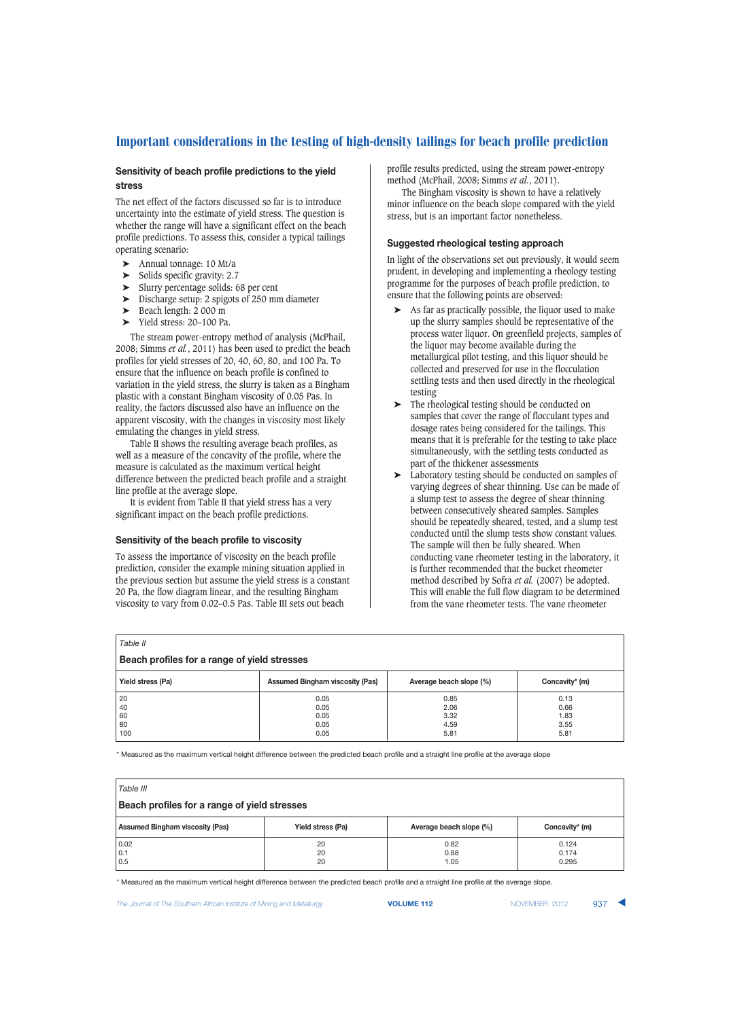# **Sensitivity of beach profile predictions to the yield stress**

The net effect of the factors discussed so far is to introduce uncertainty into the estimate of yield stress. The question is whether the range will have a significant effect on the beach profile predictions. To assess this, consider a typical tailings operating scenario:

- Annual tonnage: 10 Mt/a<br>Solids specific gravity: 2.7
- Solids specific gravity: 2.7
- ➤ Slurry percentage solids: 68 per cent
- ➤ Discharge setup: 2 spigots of 250 mm diameter
- ➤ Beach length: 2 000 m
- ➤ Yield stress: 20–100 Pa.

The stream power-entropy method of analysis (McPhail, 2008; Simms *et al.*, 2011) has been used to predict the beach profiles for yield stresses of 20, 40, 60, 80, and 100 Pa. To ensure that the influence on beach profile is confined to variation in the yield stress, the slurry is taken as a Bingham plastic with a constant Bingham viscosity of 0.05 Pas. In reality, the factors discussed also have an influence on the apparent viscosity, with the changes in viscosity most likely emulating the changes in yield stress.

Table II shows the resulting average beach profiles, as well as a measure of the concavity of the profile, where the measure is calculated as the maximum vertical height difference between the predicted beach profile and a straight line profile at the average slope.

It is evident from Table II that yield stress has a very significant impact on the beach profile predictions.

# **Sensitivity of the beach profile to viscosity**

To assess the importance of viscosity on the beach profile prediction, consider the example mining situation applied in the previous section but assume the yield stress is a constant 20 Pa, the flow diagram linear, and the resulting Bingham viscosity to vary from 0.02–0.5 Pas. Table III sets out beach

profile results predicted, using the stream power-entropy method (McPhail, 2008; Simms *et al.*, 2011).

The Bingham viscosity is shown to have a relatively minor influence on the beach slope compared with the yield stress, but is an important factor nonetheless.

# **Suggested rheological testing approach**

In light of the observations set out previously, it would seem prudent, in developing and implementing a rheology testing programme for the purposes of beach profile prediction, to ensure that the following points are observed:

- As far as practically possible, the liquor used to make up the slurry samples should be representative of the process water liquor. On greenfield projects, samples of the liquor may become available during the metallurgical pilot testing, and this liquor should be collected and preserved for use in the flocculation settling tests and then used directly in the rheological testing
- ➤ The rheological testing should be conducted on samples that cover the range of flocculant types and dosage rates being considered for the tailings. This means that it is preferable for the testing to take place simultaneously, with the settling tests conducted as part of the thickener assessments
- ➤ Laboratory testing should be conducted on samples of varying degrees of shear thinning. Use can be made of a slump test to assess the degree of shear thinning between consecutively sheared samples. Samples should be repeatedly sheared, tested, and a slump test conducted until the slump tests show constant values. The sample will then be fully sheared. When conducting vane rheometer testing in the laboratory, it is further recommended that the bucket rheometer method described by Sofra *et al.* (2007) be adopted. This will enable the full flow diagram to be determined from the vane rheometer tests. The vane rheometer

| Table II                                     |                                        |                         |                |  |  |  |
|----------------------------------------------|----------------------------------------|-------------------------|----------------|--|--|--|
| Beach profiles for a range of yield stresses |                                        |                         |                |  |  |  |
| Yield stress (Pa)                            | <b>Assumed Bingham viscosity (Pas)</b> | Average beach slope (%) | Concavity* (m) |  |  |  |
| 20                                           | 0.05                                   | 0.85                    | 0.13           |  |  |  |
| 40                                           | 0.05                                   | 2.06                    | 0.66           |  |  |  |
| 60                                           | 0.05                                   | 3.32                    | 1.83           |  |  |  |
| 80                                           | 0.05                                   | 4.59                    | 3.55           |  |  |  |
| 100                                          | 0.05                                   | 5.81                    | 5.81           |  |  |  |

\* Measured as the maximum vertical height difference between the predicted beach profile and a straight line profile at the average slope

| Table III                                    |                   |                         |                         |  |  |  |
|----------------------------------------------|-------------------|-------------------------|-------------------------|--|--|--|
| Beach profiles for a range of yield stresses |                   |                         |                         |  |  |  |
| <b>Assumed Bingham viscosity (Pas)</b>       | Yield stress (Pa) | Average beach slope (%) | Concavity* (m)          |  |  |  |
| 0.02<br>0.1<br>0.5                           | 20<br>20<br>20    | 0.82<br>0.88<br>1.05    | 0.124<br>0.174<br>0.295 |  |  |  |

\* Measured as the maximum vertical height difference between the predicted beach profile and a straight line profile at the average slope.